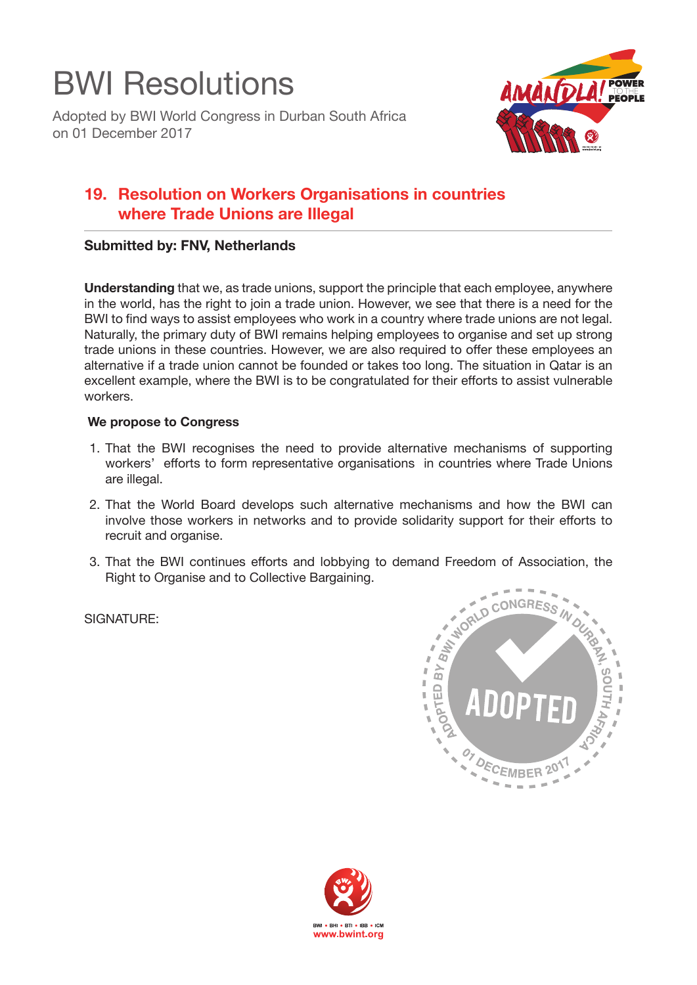

Adopted by BWI World Congress in Durban South Africa on 01 December 2017



## **19. Resolution on Workers Organisations in countries where Trade Unions are Illegal**

## **Submitted by: FNV, Netherlands**

**Understanding** that we, as trade unions, support the principle that each employee, anywhere in the world, has the right to join a trade union. However, we see that there is a need for the BWI to find ways to assist employees who work in a country where trade unions are not legal. Naturally, the primary duty of BWI remains helping employees to organise and set up strong trade unions in these countries. However, we are also required to offer these employees an alternative if a trade union cannot be founded or takes too long. The situation in Qatar is an excellent example, where the BWI is to be congratulated for their efforts to assist vulnerable workers.

## **We propose to Congress**

- 1. That the BWI recognises the need to provide alternative mechanisms of supporting workers' efforts to form representative organisations in countries where Trade Unions are illegal.
- 2. That the World Board develops such alternative mechanisms and how the BWI can involve those workers in networks and to provide solidarity support for their efforts to recruit and organise.
- 3. That the BWI continues efforts and lobbying to demand Freedom of Association, the Right to Organise and to Collective Bargaining.

SIGNATURE: